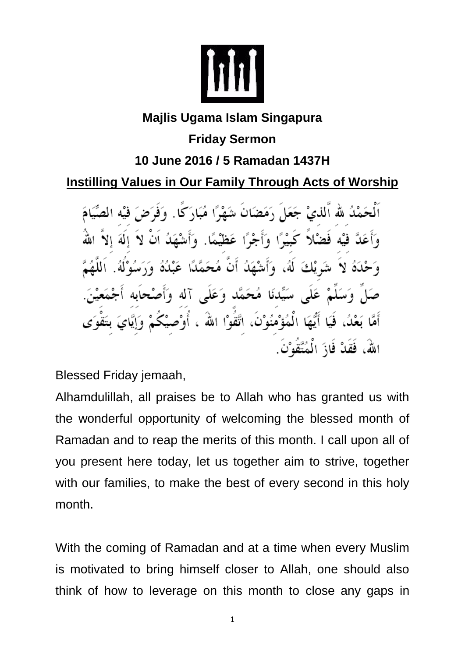

## **Majlis Ugama Islam Singapura Friday Sermon**

## **10 June 2016 / 5 Ramadan 1437H**

**Instilling Values in Our Family Through Acts of Worship**

اَلْحَمْدُ لله ٱلذيْ جَعَلَ رَمَضَانَ شَهْرًا مُبَارَكًا. وَفَرَضَ فيْه الصِّيَامَ وَأَعَدَّ فَيْه فَضْلاً كَبِيْرًا وَأَجْرًا عَظَيْمًا. وَأَشْهَدُ اَنْ لاَ إِلَهَ إِلاَّ اللَّهُ وَحْدَهُ لاَ شَرِيْكَ لَهُ، وَأَشْهَدُ أَنَّ مُحَمَّدًا عَبْدُهُ وَرَسُوْلُهُ. اَللَّهُمَّ صَلَّ وَسَلَّمْ عَلَى سَيِّدنَا مُحَمَّد وَعَلَى آله وَأَصْحابَه أَجْمَعَيْنَ. أَمَّا بَعْدُ، فَيَا أَيُّهَا الْمُؤْمُنُوْنَ، اتَّقُوْا اللهَ ، أُوْصـيْكُمْ وَإِيَّايَ بتَقْوَى اللهُ، فَقَدْ فَازَ الْمُتَّقُوْنَ.

Blessed Friday jemaah,

Alhamdulillah, all praises be to Allah who has granted us with the wonderful opportunity of welcoming the blessed month of Ramadan and to reap the merits of this month. I call upon all of you present here today, let us together aim to strive, together with our families, to make the best of every second in this holy month.

With the coming of Ramadan and at a time when every Muslim is motivated to bring himself closer to Allah, one should also think of how to leverage on this month to close any gaps in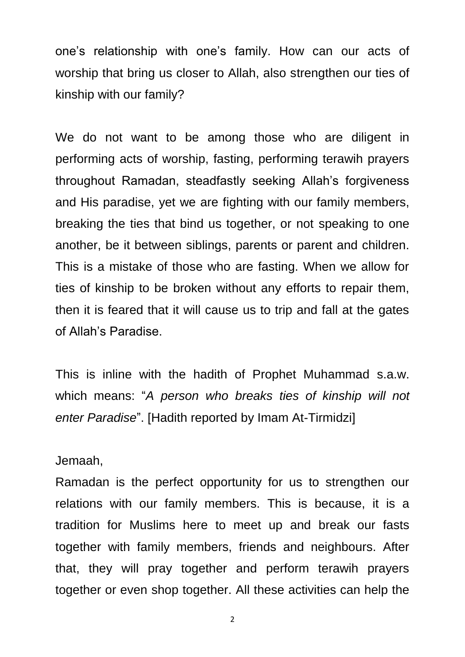one's relationship with one's family. How can our acts of worship that bring us closer to Allah, also strengthen our ties of kinship with our family?

We do not want to be among those who are diligent in performing acts of worship, fasting, performing terawih prayers throughout Ramadan, steadfastly seeking Allah's forgiveness and His paradise, yet we are fighting with our family members, breaking the ties that bind us together, or not speaking to one another, be it between siblings, parents or parent and children. This is a mistake of those who are fasting. When we allow for ties of kinship to be broken without any efforts to repair them, then it is feared that it will cause us to trip and fall at the gates of Allah's Paradise.

This is inline with the hadith of Prophet Muhammad s.a.w. which means: "*A person who breaks ties of kinship will not enter Paradise*". [Hadith reported by Imam At-Tirmidzi]

Jemaah,

Ramadan is the perfect opportunity for us to strengthen our relations with our family members. This is because, it is a tradition for Muslims here to meet up and break our fasts together with family members, friends and neighbours. After that, they will pray together and perform terawih prayers together or even shop together. All these activities can help the

2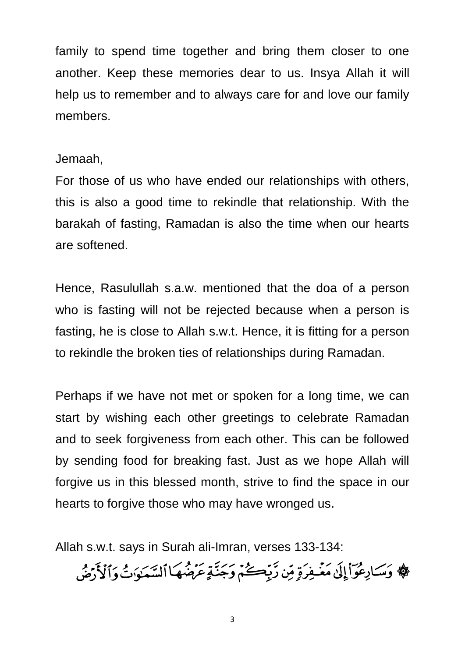family to spend time together and bring them closer to one another. Keep these memories dear to us. Insya Allah it will help us to remember and to always care for and love our family members.

## Jemaah,

For those of us who have ended our relationships with others, this is also a good time to rekindle that relationship. With the barakah of fasting, Ramadan is also the time when our hearts are softened.

Hence, Rasulullah s.a.w. mentioned that the doa of a person who is fasting will not be rejected because when a person is fasting, he is close to Allah s.w.t. Hence, it is fitting for a person to rekindle the broken ties of relationships during Ramadan.

Perhaps if we have not met or spoken for a long time, we can start by wishing each other greetings to celebrate Ramadan and to seek forgiveness from each other. This can be followed by sending food for breaking fast. Just as we hope Allah will forgive us in this blessed month, strive to find the space in our hearts to forgive those who may have wronged us.

Allah s.w.t. says in Surah ali-Imran, verses 133-134:

﴾ وَسَادِعُوٓاْ إِلَىٰ مَغۡفِرَةٍ مِّن رَّبِّكُمۡ وَجَنَّةٍ عَرَضُهَا ٱلسَّعَوَاتُ وَٱلْأَرۡضُ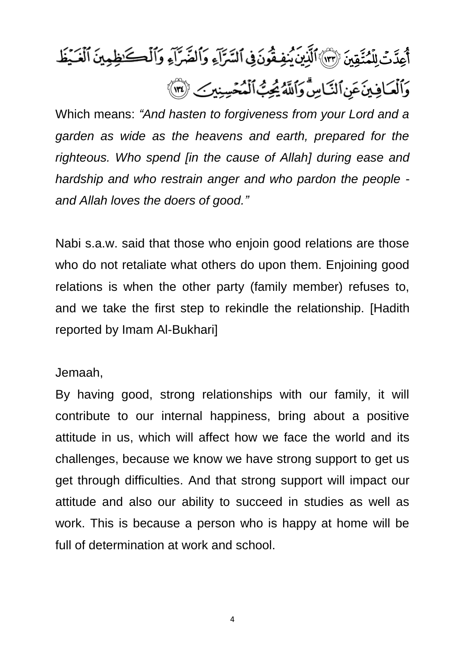

Which means: *"And hasten to forgiveness from your Lord and a garden as wide as the heavens and earth, prepared for the righteous. Who spend [in the cause of Allah] during ease and hardship and who restrain anger and who pardon the people and Allah loves the doers of good."*

Nabi s.a.w. said that those who enjoin good relations are those who do not retaliate what others do upon them. Enjoining good relations is when the other party (family member) refuses to, and we take the first step to rekindle the relationship. [Hadith reported by Imam Al-Bukhari]

Jemaah,

By having good, strong relationships with our family, it will contribute to our internal happiness, bring about a positive attitude in us, which will affect how we face the world and its challenges, because we know we have strong support to get us get through difficulties. And that strong support will impact our attitude and also our ability to succeed in studies as well as work. This is because a person who is happy at home will be full of determination at work and school.

4